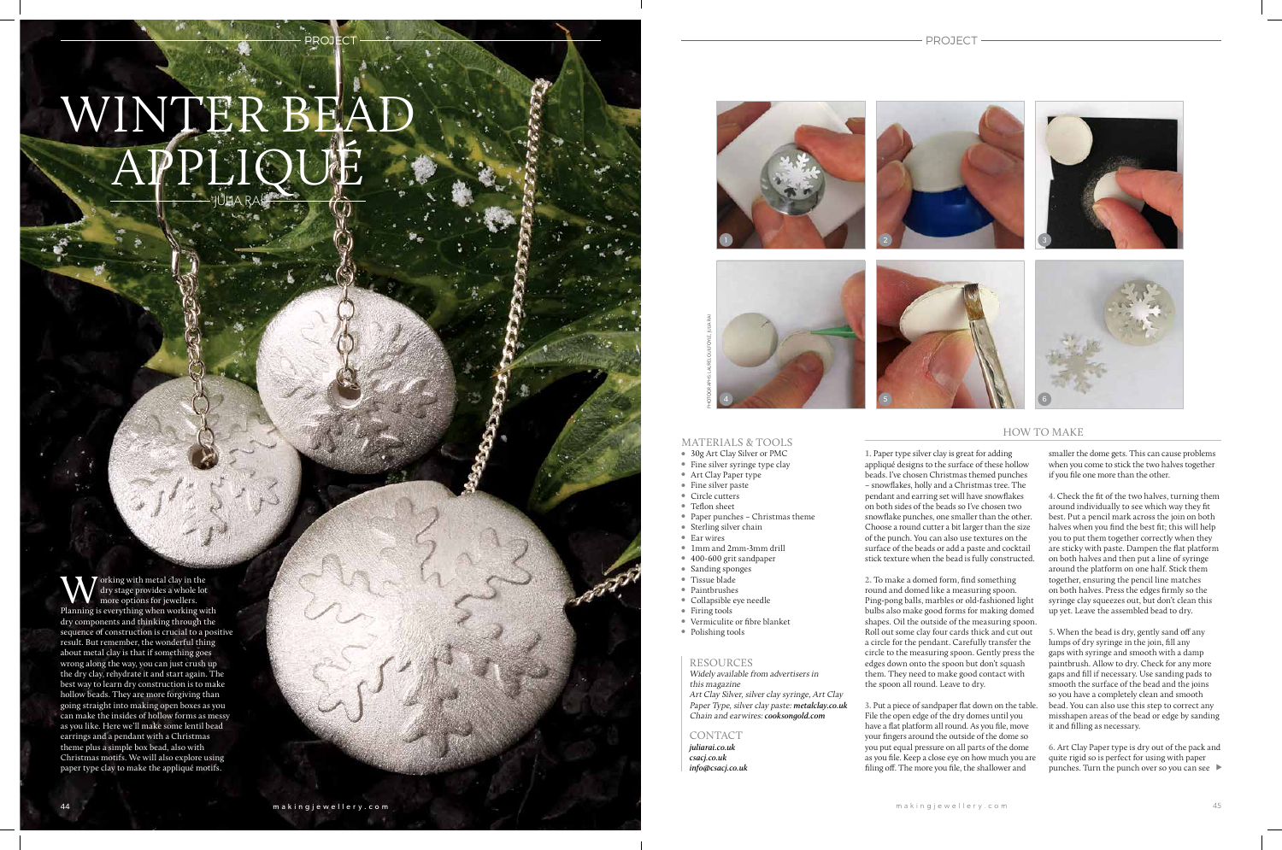## WINTER BEA APPLIQUÉ

**PROJECT** 

PROJECT

W orking with metal clay in the<br>dry stage provides a whole lot<br>Planning is everything when working with  $\overline{\phantom{x}}$  orking with metal clay in the dry stage provides a whole lot more options for jewellers. dry components and thinking through the sequence of construction is crucial to a positive result. But remember, the wonderful thing about metal clay is that if something goes wrong along the way, you can just crush up the dry clay, rehydrate it and start again. The best way to learn dry construction is to make hollow beads. They are more forgiving than going straight into making open boxes as you can make the insides of hollow forms as messy as you like. Here we'll make some lentil bead earrings and a pendant with a Christmas theme plus a simple box bead, also with Christmas motifs. We will also explore using paper type clay to make the appliqué motifs.

## MATERIALS & TOOLS

- 30g Art Clay Silver or PMC
- Fine silver syringe type clay • Art Clay Paper type
- Fine silver paste

## RESOURCES

Widely available from advertisers in this magazine Art Clay Silver, silver clay syringe, Art Clay Paper Type, silver clay paste: **metalclay.co.uk** Chain and earwires: **cooksongold.com** 

CONTACT

**juliarai.co.uk csacj.co.uk**

## HOW TO MAKE

PHOTOGRAPHS: LAUREL GUILFOYLE, JULIA RAI

- 
- Circle cutters
- $\bullet$  Teflon sheet
- <sup>l</sup> Paper punches Christmas theme
- $\bullet$  Sterling silver chain
- Ear wires
- <sup>l</sup> 1mm and 2mm-3mm drill
- 400-600 grit sandpaper
- Sanding sponges
- Tissue blade
- Paintbrushes
- **Collapsible eye needle**
- 
- $\bullet$  Firing tools
- <sup>l</sup> Vermiculite or fibre blanket
- Polishing tools

**1.** Paper type silver clay is great for adding appliqué designs to the surface of these hollow beads. I've chosen Christmas themed punches – snowflakes, holly and a Christmas tree. The pendant and earring set will have snowflakes on both sides of the beads so I've chosen two snowflake punches, one smaller than the other. Choose a round cutter a bit larger than the size of the punch. You can also use textures on the surface of the beads or add a paste and cocktail stick texture when the bead is fully constructed.

**info@csacj.co.uk** the same off the more you file, the shallower and the punches. Turn the punch over so you can see **6.** Art Clay Paper type is dry out of the pack and quite rigid so is perfect for using with paper

**2.** To make a domed form, find something round and domed like a measuring spoon. Ping-pong balls, marbles or old-fashioned light bulbs also make good forms for making domed shapes. Oil the outside of the measuring spoon. Roll out some clay four cards thick and cut out a circle for the pendant. Carefully transfer the circle to the measuring spoon. Gently press the edges down onto the spoon but don't squash them. They need to make good contact with the spoon all round. Leave to dry.

**3.** Put a piece of sandpaper flat down on the table. File the open edge of the dry domes until you have a flat platform all round. As you file, move your fingers around the outside of the dome so you put equal pressure on all parts of the dome as you file. Keep a close eye on how much you are filing off. The more you file, the shallower and



smaller the dome gets. This can cause problems when you come to stick the two halves together if you file one more than the other.

**4.** Check the fit of the two halves, turning them around individually to see which way they fit best. Put a pencil mark across the join on both halves when you find the best fit; this will help you to put them together correctly when they are sticky with paste. Dampen the flat platform on both halves and then put a line of syringe around the platform on one half. Stick them together, ensuring the pencil line matches on both halves. Press the edges firmly so the syringe clay squeezes out, but don't clean this up yet. Leave the assembled bead to dry.

**5.** When the bead is dry, gently sand off any lumps of dry syringe in the join, fill any gaps with syringe and smooth with a damp paintbrush. Allow to dry. Check for any more gaps and fill if necessary. Use sanding pads to smooth the surface of the bead and the joins so you have a completely clean and smooth bead. You can also use this step to correct any misshapen areas of the bead or edge by sanding it and filling as necessary.